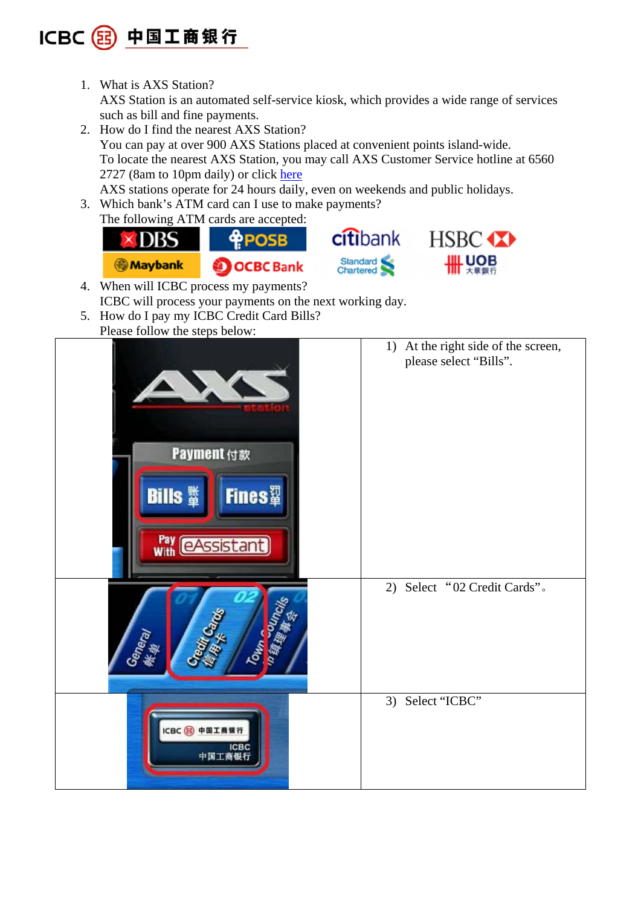

1. What is AXS Station?

AXS Station is an automated self-service kiosk, which provides a wide range of services such as bill and fine payments.

- 2. How do I find the nearest AXS Station? You can pay at over 900 AXS Stations placed at convenient points island-wide. To locate the nearest AXS Station, you may call AXS Customer Service hotline at 6560 2727 (8am to 10pm daily) or click here AXS stations operate for 24 hours daily, even on weekends and public holidays.
- 3. Which bank's ATM card can I use to make payments? The following ATM cards are accepted:



- 4. When will ICBC process my payments? ICBC will process your payments on the next working day.
- 5. How do I pay my ICBC Credit Card Bills?
- Please follow the steps below:

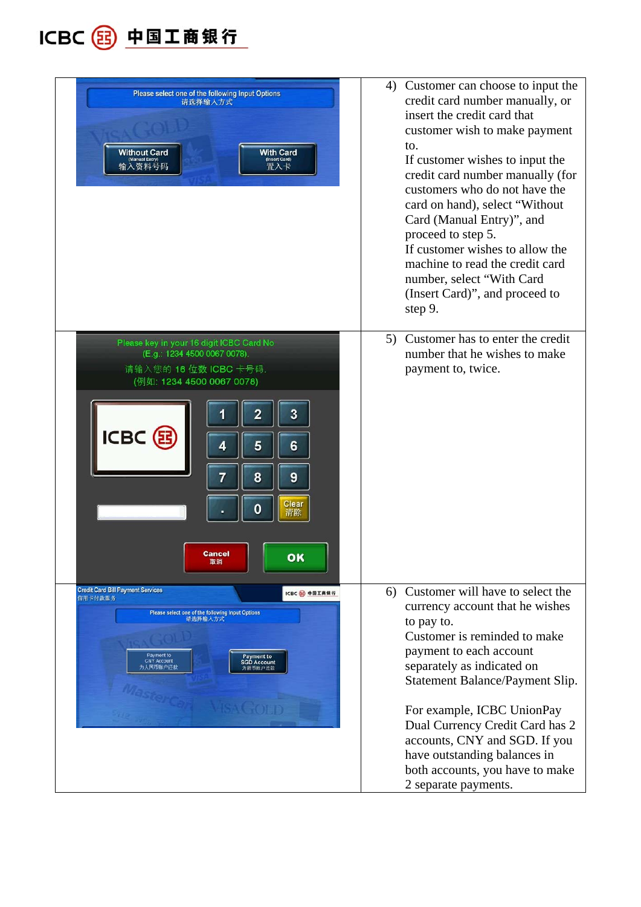

| Please select one of the following Input Options<br>请选择输入方式<br><b>Without Card</b><br><b>With Card</b><br>(Insert Card)<br>置入卡                                                                                                                  | 4) Customer can choose to input the<br>credit card number manually, or<br>insert the credit card that<br>customer wish to make payment<br>to.<br>If customer wishes to input the<br>credit card number manually (for<br>customers who do not have the<br>card on hand), select "Without<br>Card (Manual Entry)", and<br>proceed to step 5.<br>If customer wishes to allow the<br>machine to read the credit card<br>number, select "With Card<br>(Insert Card)", and proceed to<br>step 9. |
|-------------------------------------------------------------------------------------------------------------------------------------------------------------------------------------------------------------------------------------------------|--------------------------------------------------------------------------------------------------------------------------------------------------------------------------------------------------------------------------------------------------------------------------------------------------------------------------------------------------------------------------------------------------------------------------------------------------------------------------------------------|
| Please key in your 16 digit ICBC Card No<br>(E.g.: 1234 4500 0067 0078).<br>请输入您的 16 位数 ICBC 卡号码.<br>(例如: 1234 4500 0067 0078)<br>3<br>2<br>ICBC (B<br>5<br>6<br>4<br>8<br>$\overline{9}$<br>7<br>Clear<br>0<br>清除<br><b>Cancel</b><br>OK<br>取消 | 5) Customer has to enter the credit<br>number that he wishes to make<br>payment to, twice.                                                                                                                                                                                                                                                                                                                                                                                                 |
| <b>Credit Card Bill Payment Services</b><br>ICBC B 中国工商银行<br>信用卡付款服务<br>Please select one of the following Input Options<br>请选择输入方式<br>Payment to<br>Payment to<br><b>CNY Account</b><br><b>SGD Account</b><br>为人民币账户还款<br>为新币账户还款              | Customer will have to select the<br>6)<br>currency account that he wishes<br>to pay to.<br>Customer is reminded to make<br>payment to each account<br>separately as indicated on<br>Statement Balance/Payment Slip.<br>For example, ICBC UnionPay<br>Dual Currency Credit Card has 2<br>accounts, CNY and SGD. If you<br>have outstanding balances in<br>both accounts, you have to make<br>2 separate payments.                                                                           |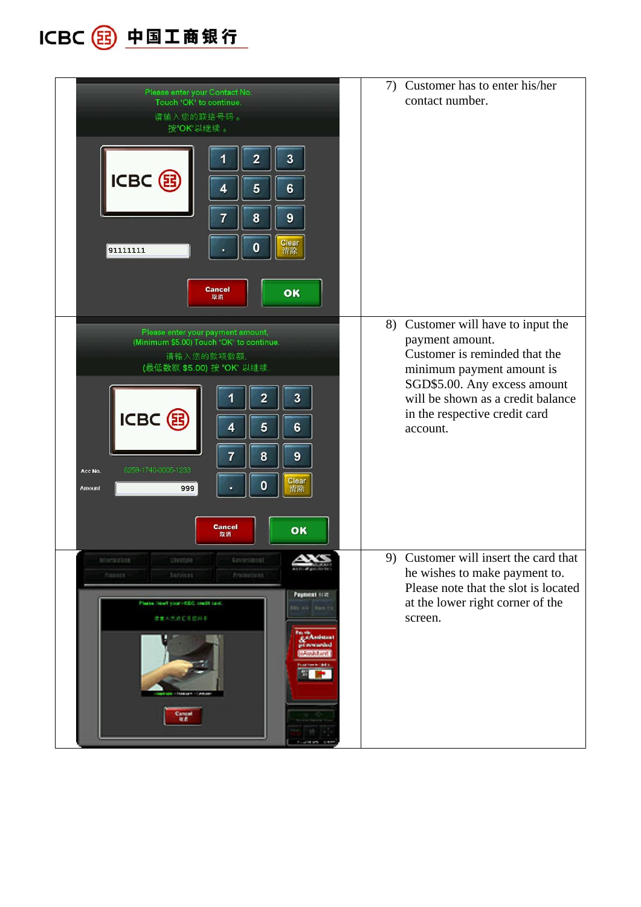ICBC 3 中国工商银行

| Please enter your Contact No.<br>Touch "OK" to continue.<br>请输入您的联络号码。<br>按"OK"以继续。<br>3<br>$\overline{2}$<br>1<br>ICBC B<br>5<br>$6\phantom{a}$<br>4<br>8<br>7<br>9<br>Clear<br>$\bf{0}$<br>91111111<br>٠<br>清除<br><b>Cancel</b><br>OK<br>取消                                                                                   | Customer has to enter his/her<br>7)<br>contact number.                                                                                                                                                                                |
|---------------------------------------------------------------------------------------------------------------------------------------------------------------------------------------------------------------------------------------------------------------------------------------------------------------------------------|---------------------------------------------------------------------------------------------------------------------------------------------------------------------------------------------------------------------------------------|
| Please enter your payment amount,<br>(Minimum \$5.00) Touch "OK" to continue.<br>请输入您的款项数额.<br>(最低数额 \$5.00) 按 "OK" 以继续.<br>3<br>2<br>ICBC B<br>5<br>$6\phantom{a}$<br>4<br>$\overline{7}$<br>8<br>$\overline{9}$<br>6259-1740-0005-1233<br>Acc No.<br>Clear<br>$\mathbf 0$<br>999<br>Amount<br>清除<br><b>Cancel</b><br>OK<br>取消 | 8) Customer will have to input the<br>payment amount.<br>Customer is reminded that the<br>minimum payment amount is<br>SGD\$5.00. Any excess amount<br>will be shown as a credit balance<br>in the respective credit card<br>account. |
| <b>Ministration</b><br><b>Distribution</b><br>finance<br>Strvicks.<br>Promotions<br>Payment scar<br>Plasse least your little craft cast<br>●●大夫姓の生徒同事<br><b>Reduction</b><br>eveneded<br>Anadol and<br>an a<br>Cancel<br>R.C<br><b>CARD AND STREET</b>                                                                          | 9) Customer will insert the card that<br>he wishes to make payment to.<br>Please note that the slot is located<br>at the lower right corner of the<br>screen.                                                                         |